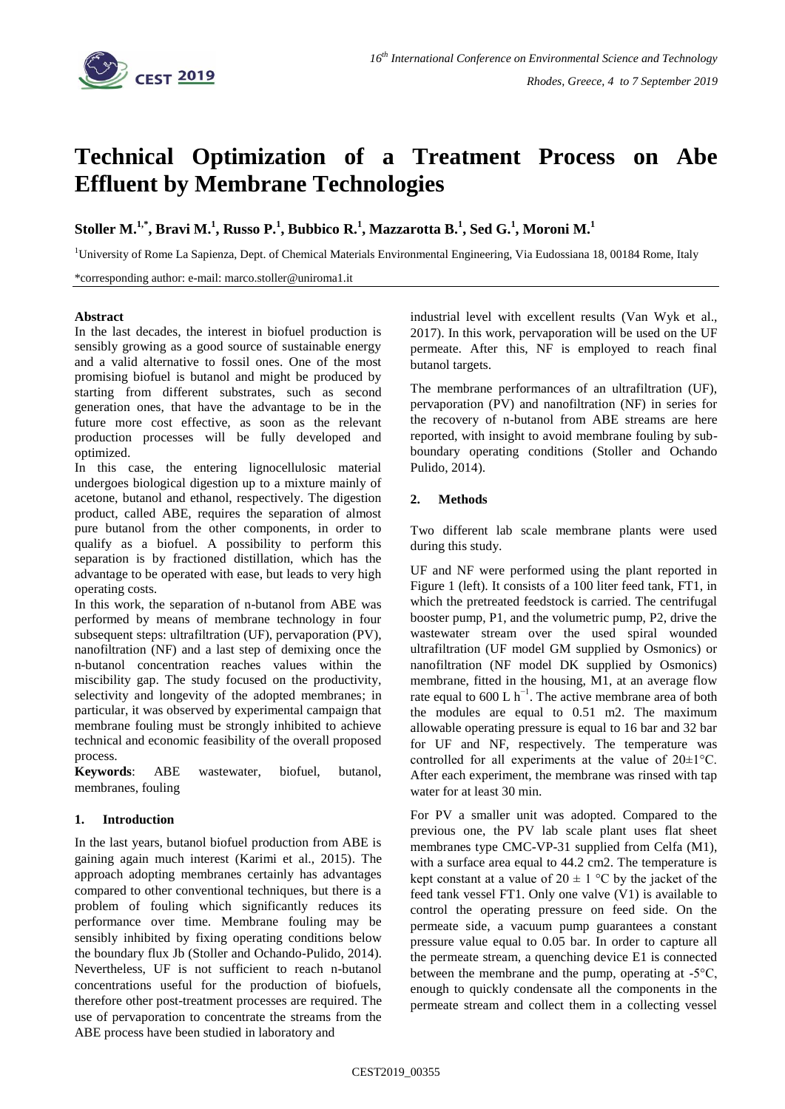

# **Technical Optimization of a Treatment Process on Abe Effluent by Membrane Technologies**

Stoller M. $^{1,*}$ , Bravi M. $^{1}$ , Russo P. $^{1}$ , Bubbico R. $^{1}$ , Mazzarotta B. $^{1}$ , Sed G. $^{1}$ , Moroni M. $^{1}$ 

<sup>1</sup>University of Rome La Sapienza, Dept. of Chemical Materials Environmental Engineering, Via Eudossiana 18, 00184 Rome, Italy

\*corresponding author: e-mail: marco.stoller@uniroma1.it

## **Abstract**

In the last decades, the interest in biofuel production is sensibly growing as a good source of sustainable energy and a valid alternative to fossil ones. One of the most promising biofuel is butanol and might be produced by starting from different substrates, such as second generation ones, that have the advantage to be in the future more cost effective, as soon as the relevant production processes will be fully developed and optimized.

In this case, the entering lignocellulosic material undergoes biological digestion up to a mixture mainly of acetone, butanol and ethanol, respectively. The digestion product, called ABE, requires the separation of almost pure butanol from the other components, in order to qualify as a biofuel. A possibility to perform this separation is by fractioned distillation, which has the advantage to be operated with ease, but leads to very high operating costs.

In this work, the separation of n-butanol from ABE was performed by means of membrane technology in four subsequent steps: ultrafiltration (UF), pervaporation (PV), nanofiltration (NF) and a last step of demixing once the n-butanol concentration reaches values within the miscibility gap. The study focused on the productivity, selectivity and longevity of the adopted membranes; in particular, it was observed by experimental campaign that membrane fouling must be strongly inhibited to achieve technical and economic feasibility of the overall proposed process.

**Keywords**: ABE wastewater, biofuel, butanol, membranes, fouling

# **1. Introduction**

In the last years, butanol biofuel production from ABE is gaining again much interest (Karimi et al., 2015). The approach adopting membranes certainly has advantages compared to other conventional techniques, but there is a problem of fouling which significantly reduces its performance over time. Membrane fouling may be sensibly inhibited by fixing operating conditions below the boundary flux Jb (Stoller and Ochando-Pulido, 2014). Nevertheless, UF is not sufficient to reach n-butanol concentrations useful for the production of biofuels, therefore other post-treatment processes are required. The use of pervaporation to concentrate the streams from the ABE process have been studied in laboratory and

industrial level with excellent results (Van Wyk et al., 2017). In this work, pervaporation will be used on the UF permeate. After this, NF is employed to reach final butanol targets.

The membrane performances of an ultrafiltration (UF), pervaporation (PV) and nanofiltration (NF) in series for the recovery of n-butanol from ABE streams are here reported, with insight to avoid membrane fouling by subboundary operating conditions (Stoller and Ochando Pulido, 2014).

# **2. Methods**

Two different lab scale membrane plants were used during this study.

UF and NF were performed using the plant reported in Figure 1 (left). It consists of a 100 liter feed tank, FT1, in which the pretreated feedstock is carried. The centrifugal booster pump, P1, and the volumetric pump, P2, drive the wastewater stream over the used spiral wounded ultrafiltration (UF model GM supplied by Osmonics) or nanofiltration (NF model DK supplied by Osmonics) membrane, fitted in the housing, M1, at an average flow rate equal to 600 L  $h^{-1}$ . The active membrane area of both the modules are equal to 0.51 m2. The maximum allowable operating pressure is equal to 16 bar and 32 bar for UF and NF, respectively. The temperature was controlled for all experiments at the value of 20±1°C. After each experiment, the membrane was rinsed with tap water for at least 30 min.

For PV a smaller unit was adopted. Compared to the previous one, the PV lab scale plant uses flat sheet membranes type CMC-VP-31 supplied from Celfa (M1), with a surface area equal to 44.2 cm2. The temperature is kept constant at a value of  $20 \pm 1$  °C by the jacket of the feed tank vessel FT1. Only one valve (V1) is available to control the operating pressure on feed side. On the permeate side, a vacuum pump guarantees a constant pressure value equal to 0.05 bar. In order to capture all the permeate stream, a quenching device E1 is connected between the membrane and the pump, operating at -5°C, enough to quickly condensate all the components in the permeate stream and collect them in a collecting vessel